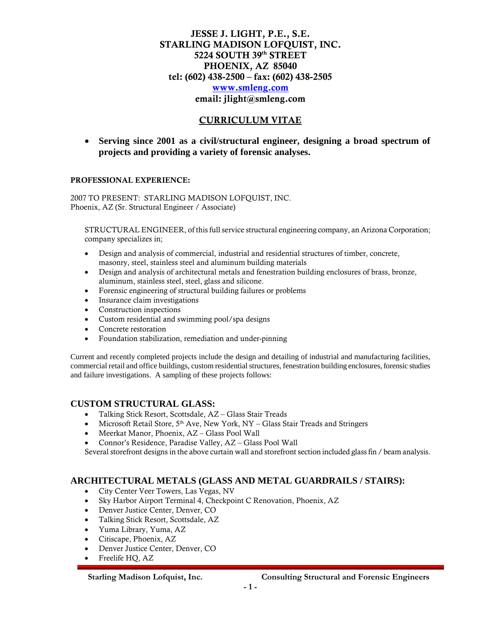### JESSE J. LIGHT, P.E., S.E. STARLING MADISON LOFQUIST, INC. 5224 SOUTH 39th STREET PHOENIX, AZ 85040 tel: (602) 438-2500 – fax: (602) 438-2505 [www.smleng.com](http://www.smleng.com/) email: jlight@smleng.com

### CURRICULUM VITAE

• **Serving since 2001 as a civil/structural engineer, designing a broad spectrum of projects and providing a variety of forensic analyses.**

#### PROFESSIONAL EXPERIENCE:

2007 TO PRESENT: STARLING MADISON LOFQUIST, INC. Phoenix, AZ (Sr. Structural Engineer / Associate)

STRUCTURAL ENGINEER, of this full service structural engineering company, an Arizona Corporation; company specializes in;

- Design and analysis of commercial, industrial and residential structures of timber, concrete, masonry, steel, stainless steel and aluminum building materials
- Design and analysis of architectural metals and fenestration building enclosures of brass, bronze, aluminum, stainless steel, steel, glass and silicone.
- Forensic engineering of structural building failures or problems
- Insurance claim investigations
- Construction inspections
- Custom residential and swimming pool/spa designs
- Concrete restoration
- Foundation stabilization, remediation and under-pinning

Current and recently completed projects include the design and detailing of industrial and manufacturing facilities, commercial retail and office buildings, custom residential structures, fenestration building enclosures, forensic studies and failure investigations. A sampling of these projects follows:

#### **CUSTOM STRUCTURAL GLASS:**

- Talking Stick Resort, Scottsdale, AZ Glass Stair Treads
- Microsoft Retail Store,  $5<sup>th</sup>$  Ave, New York, NY Glass Stair Treads and Stringers
- Meerkat Manor, Phoenix, AZ Glass Pool Wall
- Connor's Residence, Paradise Valley, AZ Glass Pool Wall

Several storefront designs in the above curtain wall and storefront section included glass fin / beam analysis.

#### **ARCHITECTURAL METALS (GLASS AND METAL GUARDRAILS / STAIRS):**

- City Center Veer Towers, Las Vegas, NV
- Sky Harbor Airport Terminal 4, Checkpoint C Renovation, Phoenix, AZ
- Denver Justice Center, Denver, CO
- Talking Stick Resort, Scottsdale, AZ
- Yuma Library, Yuma, AZ
- Citiscape, Phoenix, AZ
- Denver Justice Center, Denver, CO
- Freelife HQ, AZ

 **Starling Madison Lofquist, Inc. Consulting Structural and Forensic Engineers** 

I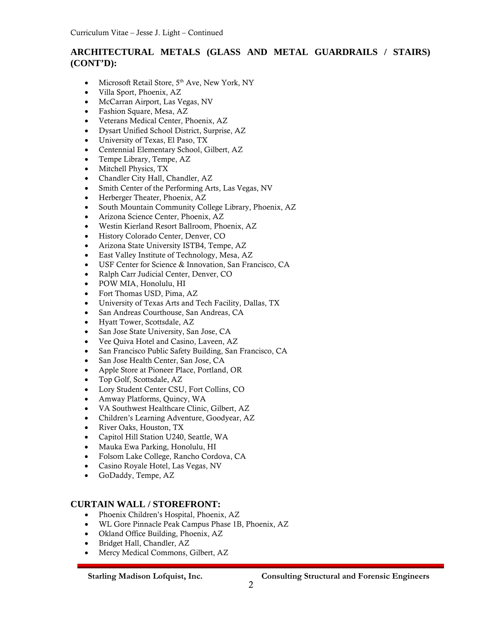# **ARCHITECTURAL METALS (GLASS AND METAL GUARDRAILS / STAIRS) (CONT'D):**

- Microsoft Retail Store, 5<sup>th</sup> Ave, New York, NY
- Villa Sport, Phoenix, AZ
- McCarran Airport, Las Vegas, NV
- Fashion Square, Mesa, AZ
- Veterans Medical Center, Phoenix, AZ
- Dysart Unified School District, Surprise, AZ
- University of Texas, El Paso, TX
- Centennial Elementary School, Gilbert, AZ
- Tempe Library, Tempe, AZ
- Mitchell Physics, TX
- Chandler City Hall, Chandler, AZ
- Smith Center of the Performing Arts, Las Vegas, NV
- Herberger Theater, Phoenix, AZ
- South Mountain Community College Library, Phoenix, AZ
- Arizona Science Center, Phoenix, AZ
- Westin Kierland Resort Ballroom, Phoenix, AZ
- History Colorado Center, Denver, CO
- Arizona State University ISTB4, Tempe, AZ
- East Valley Institute of Technology, Mesa, AZ
- USF Center for Science & Innovation, San Francisco, CA
- Ralph Carr Judicial Center, Denver, CO
- POW MIA, Honolulu, HI
- Fort Thomas USD, Pima, AZ
- University of Texas Arts and Tech Facility, Dallas, TX
- San Andreas Courthouse, San Andreas, CA
- Hyatt Tower, Scottsdale, AZ
- San Jose State University, San Jose, CA
- Vee Quiva Hotel and Casino, Laveen, AZ
- San Francisco Public Safety Building, San Francisco, CA
- San Jose Health Center, San Jose, CA
- Apple Store at Pioneer Place, Portland, OR
- Top Golf, Scottsdale, AZ
- Lory Student Center CSU, Fort Collins, CO
- Amway Platforms, Quincy, WA
- VA Southwest Healthcare Clinic, Gilbert, AZ
- Children's Learning Adventure, Goodyear, AZ
- River Oaks, Houston, TX
- Capitol Hill Station U240, Seattle, WA
- Mauka Ewa Parking, Honolulu, HI
- Folsom Lake College, Rancho Cordova, CA
- Casino Royale Hotel, Las Vegas, NV
- GoDaddy, Tempe, AZ

#### **CURTAIN WALL / STOREFRONT:**

- Phoenix Children's Hospital, Phoenix, AZ
- WL Gore Pinnacle Peak Campus Phase 1B, Phoenix, AZ
- Okland Office Building, Phoenix, AZ
- Bridget Hall, Chandler, AZ
- Mercy Medical Commons, Gilbert, AZ

 **Starling Madison Lofquist, Inc. Consulting Structural and Forensic Engineers**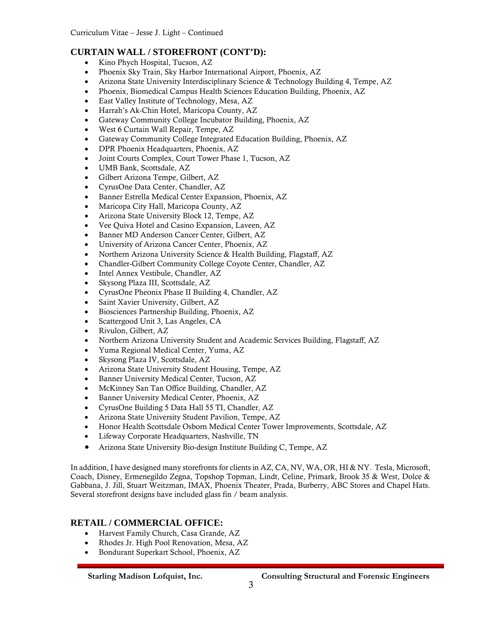# **CURTAIN WALL / STOREFRONT (CONT'D):**

- Kino Phych Hospital, Tucson, AZ
- Phoenix Sky Train, Sky Harbor International Airport, Phoenix, AZ
- Arizona State University Interdisciplinary Science & Technology Building 4, Tempe, AZ
- Phoenix, Biomedical Campus Health Sciences Education Building, Phoenix, AZ
- East Valley Institute of Technology, Mesa, AZ
- Harrah's Ak-Chin Hotel, Maricopa County, AZ
- Gateway Community College Incubator Building, Phoenix, AZ
- West 6 Curtain Wall Repair, Tempe, AZ
- Gateway Community College Integrated Education Building, Phoenix, AZ
- DPR Phoenix Headquarters, Phoenix, AZ
- Joint Courts Complex, Court Tower Phase 1, Tucson, AZ
- UMB Bank, Scottsdale, AZ
- Gilbert Arizona Tempe, Gilbert, AZ
- CyrusOne Data Center, Chandler, AZ
- Banner Estrella Medical Center Expansion, Phoenix, AZ
- Maricopa City Hall, Maricopa County, AZ
- Arizona State University Block 12, Tempe, AZ
- Vee Quiva Hotel and Casino Expansion, Laveen, AZ
- Banner MD Anderson Cancer Center, Gilbert, AZ
- University of Arizona Cancer Center, Phoenix, AZ
- Northern Arizona University Science & Health Building, Flagstaff, AZ
- Chandler-Gilbert Community College Coyote Center, Chandler, AZ
- Intel Annex Vestibule, Chandler, AZ
- Skysong Plaza III, Scottsdale, AZ
- CyrusOne Pheonix Phase II Building 4, Chandler, AZ
- Saint Xavier University, Gilbert, AZ
- Biosciences Partnership Building, Phoenix, AZ
- Scattergood Unit 3, Las Angeles, CA
- Rivulon, Gilbert, AZ
- Northern Arizona University Student and Academic Services Building, Flagstaff, AZ
- Yuma Regional Medical Center, Yuma, AZ
- Skysong Plaza IV, Scottsdale, AZ
- Arizona State University Student Housing, Tempe, AZ
- Banner University Medical Center, Tucson, AZ
- McKinney San Tan Office Building, Chandler, AZ
- Banner University Medical Center, Phoenix, AZ
- CyrusOne Building 5 Data Hall 55 TI, Chandler, AZ
- Arizona State University Student Pavilion, Tempe, AZ
- Honor Health Scottsdale Osborn Medical Center Tower Improvements, Scottsdale, AZ
- Lifeway Corporate Headquarters, Nashville, TN
- Arizona State University Bio-design Institute Building C, Tempe, AZ

In addition, I have designed many storefronts for clients in AZ, CA, NV, WA, OR, HI & NY. Tesla, Microsoft, Coach, Disney, Ermenegildo Zegna, Topshop Topman, Lindt, Celine, Primark, Brook 35 & West, Dolce & Gabbana, J. Jill, Stuart Weitzman, IMAX, Phoenix Theater, Prada, Burberry, ABC Stores and Chapel Hats. Several storefront designs have included glass fin / beam analysis.

# **RETAIL / COMMERCIAL OFFICE:**

- Harvest Family Church, Casa Grande, AZ
- Rhodes Jr. High Pool Renovation, Mesa, AZ
- Bondurant Superkart School, Phoenix, AZ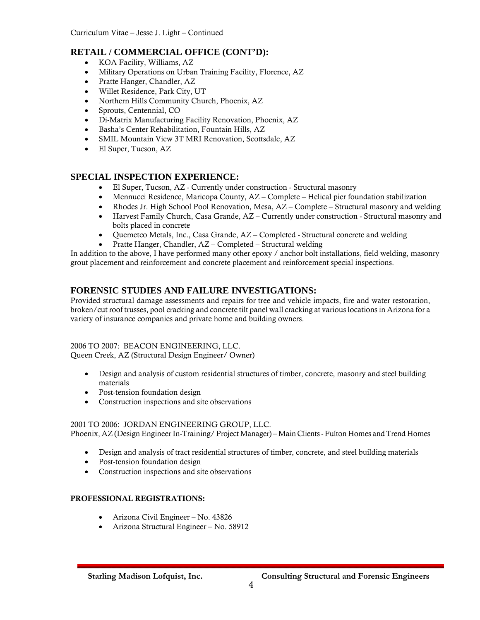### **RETAIL / COMMERCIAL OFFICE (CONT'D):**

- KOA Facility, Williams, AZ
- Military Operations on Urban Training Facility, Florence, AZ
- Pratte Hanger, Chandler, AZ
- Willet Residence, Park City, UT
- Northern Hills Community Church, Phoenix, AZ
- Sprouts, Centennial, CO
- Di-Matrix Manufacturing Facility Renovation, Phoenix, AZ
- Basha's Center Rehabilitation, Fountain Hills, AZ
- SMIL Mountain View 3T MRI Renovation, Scottsdale, AZ
- El Super, Tucson, AZ

### **SPECIAL INSPECTION EXPERIENCE:**

- El Super, Tucson, AZ Currently under construction Structural masonry
- Mennucci Residence, Maricopa County, AZ Complete Helical pier foundation stabilization
- Rhodes Jr. High School Pool Renovation, Mesa, AZ Complete Structural masonry and welding
- Harvest Family Church, Casa Grande, AZ Currently under construction Structural masonry and bolts placed in concrete
- Quemetco Metals, Inc., Casa Grande, AZ Completed Structural concrete and welding
- Pratte Hanger, Chandler, AZ Completed Structural welding

In addition to the above, I have performed many other epoxy / anchor bolt installations, field welding, masonry grout placement and reinforcement and concrete placement and reinforcement special inspections.

### **FORENSIC STUDIES AND FAILURE INVESTIGATIONS:**

Provided structural damage assessments and repairs for tree and vehicle impacts, fire and water restoration, broken/cut roof trusses, pool cracking and concrete tilt panel wall cracking at various locations in Arizona for a variety of insurance companies and private home and building owners.

### 2006 TO 2007: BEACON ENGINEERING, LLC.

Queen Creek, AZ (Structural Design Engineer/ Owner)

- Design and analysis of custom residential structures of timber, concrete, masonry and steel building materials
- Post-tension foundation design
- Construction inspections and site observations

#### 2001 TO 2006: JORDAN ENGINEERING GROUP, LLC.

Phoenix, AZ (Design Engineer In-Training/ Project Manager) – Main Clients - Fulton Homes and Trend Homes

- Design and analysis of tract residential structures of timber, concrete, and steel building materials
- Post-tension foundation design
- Construction inspections and site observations

#### PROFESSIONAL REGISTRATIONS:

- Arizona Civil Engineer No. 43826
- Arizona Structural Engineer No. 58912